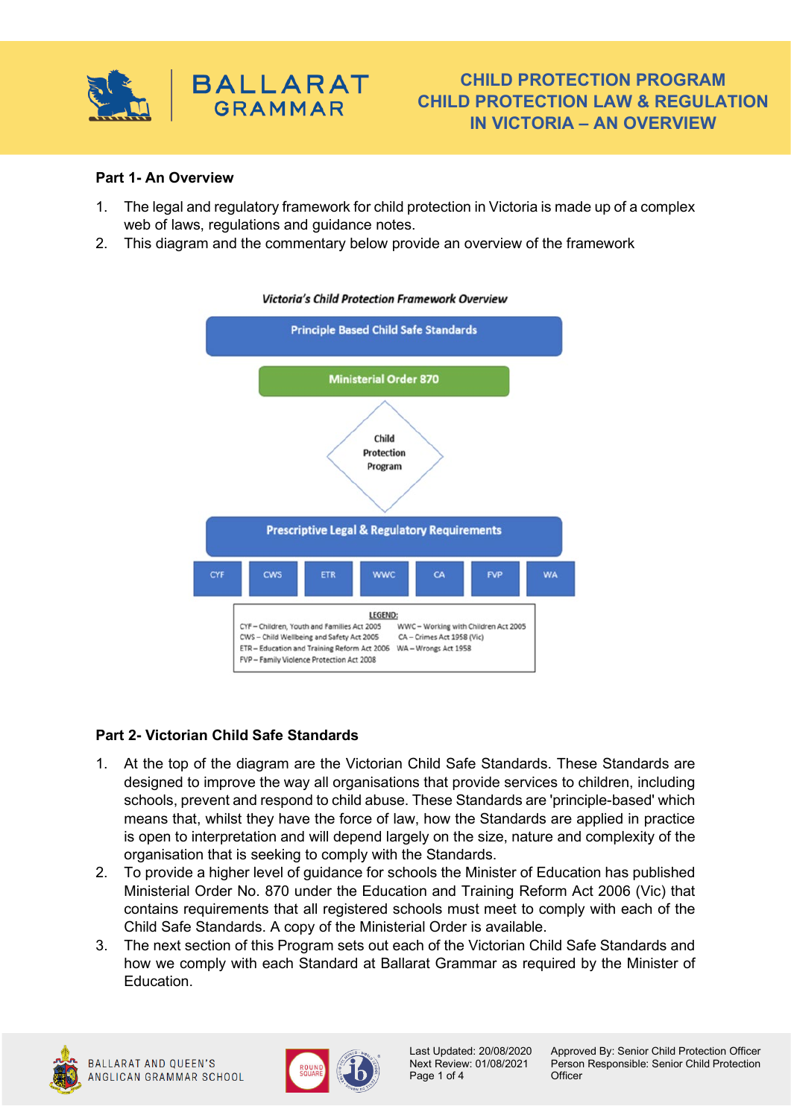

# **CHILD PROTECTION PROGRAM CHILD PROTECTION LAW & REGULATION IN VICTORIA – AN OVERVIEW**

### **Part 1- An Overview**

- 1. The legal and regulatory framework for child protection in Victoria is made up of a complex web of laws, regulations and guidance notes.
- 2. This diagram and the commentary below provide an overview of the framework



#### **Victoria's Child Protection Framework Overview**

### **Part 2- Victorian Child Safe Standards**

- 1. At the top of the diagram are the Victorian Child Safe Standards. These Standards are designed to improve the way all organisations that provide services to children, including schools, prevent and respond to child abuse. These Standards are 'principle-based' which means that, whilst they have the force of law, how the Standards are applied in practice is open to interpretation and will depend largely on the size, nature and complexity of the organisation that is seeking to comply with the Standards.
- 2. To provide a higher level of guidance for schools the Minister of Education has published Ministerial Order No. 870 under the Education and Training Reform Act 2006 (Vic) that contains requirements that all registered schools must meet to comply with each of the Child Safe Standards. A copy of the Ministerial Order is available.
- 3. The next section of this Program sets out each of the Victorian Child Safe Standards and how we comply with each Standard at Ballarat Grammar as required by the Minister of Education.





Page 1 of 4 Officer

Last Updated: 20/08/2020 Approved By: Senior Child Protection Officer Next Review: 01/08/2021 Person Responsible: Senior Child Protection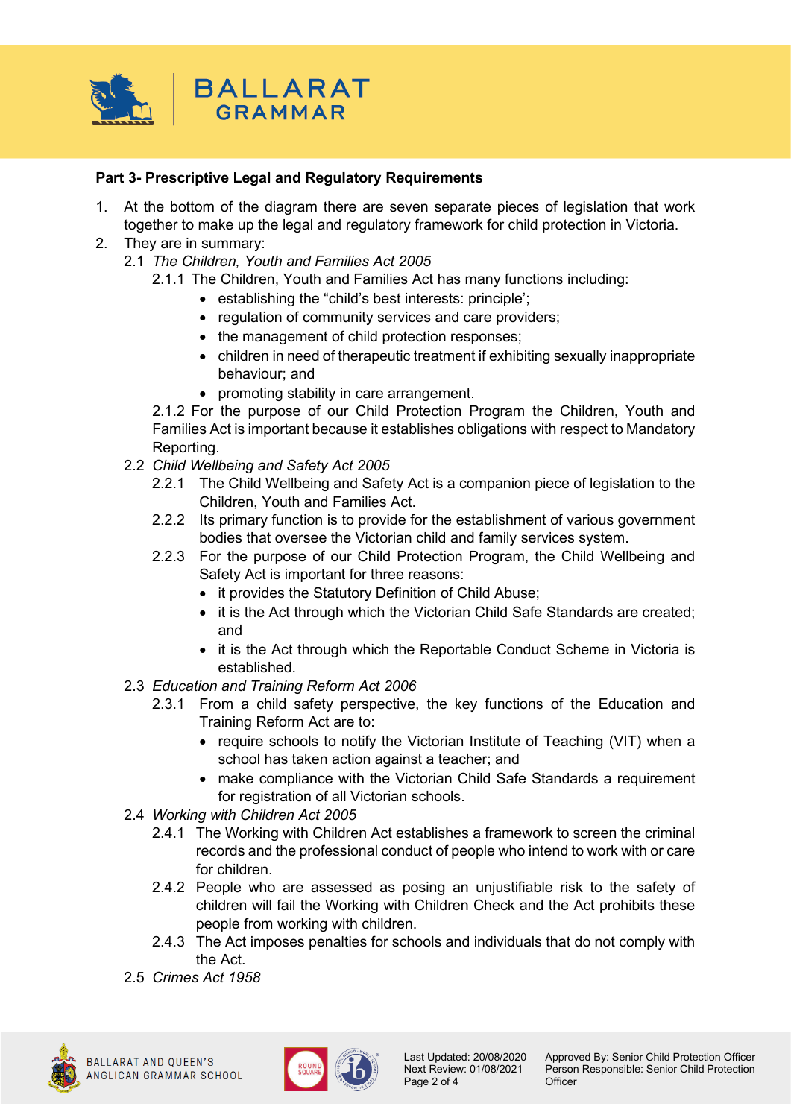

## **Part 3- Prescriptive Legal and Regulatory Requirements**

- 1. At the bottom of the diagram there are seven separate pieces of legislation that work together to make up the legal and regulatory framework for child protection in Victoria.
- 2. They are in summary:
	- 2.1 *The Children, Youth and Families Act 2005*
		- 2.1.1 The Children, Youth and Families Act has many functions including:
			- establishing the "child's best interests: principle';
			- regulation of community services and care providers;
			- the management of child protection responses;
			- children in need of therapeutic treatment if exhibiting sexually inappropriate behaviour; and
			- promoting stability in care arrangement.

2.1.2 For the purpose of our Child Protection Program the Children, Youth and Families Act is important because it establishes obligations with respect to Mandatory Reporting.

- 2.2 *Child Wellbeing and Safety Act 2005*
	- 2.2.1 The Child Wellbeing and Safety Act is a companion piece of legislation to the Children, Youth and Families Act.
	- 2.2.2 Its primary function is to provide for the establishment of various government bodies that oversee the Victorian child and family services system.
	- 2.2.3 For the purpose of our Child Protection Program, the Child Wellbeing and Safety Act is important for three reasons:
		- it provides the Statutory Definition of Child Abuse;
		- it is the Act through which the Victorian Child Safe Standards are created: and
		- it is the Act through which the Reportable Conduct Scheme in Victoria is established.
- 2.3 *Education and Training Reform Act 2006*
	- 2.3.1 From a child safety perspective, the key functions of the Education and Training Reform Act are to:
		- require schools to notify the Victorian Institute of Teaching (VIT) when a school has taken action against a teacher; and
		- make compliance with the Victorian Child Safe Standards a requirement for registration of all Victorian schools.
- 2.4 *Working with Children Act 2005*
	- 2.4.1 The Working with Children Act establishes a framework to screen the criminal records and the professional conduct of people who intend to work with or care for children.
	- 2.4.2 People who are assessed as posing an unjustifiable risk to the safety of children will fail the Working with Children Check and the Act prohibits these people from working with children.
	- 2.4.3 The Act imposes penalties for schools and individuals that do not comply with the Act.
- 2.5 *Crimes Act 1958*



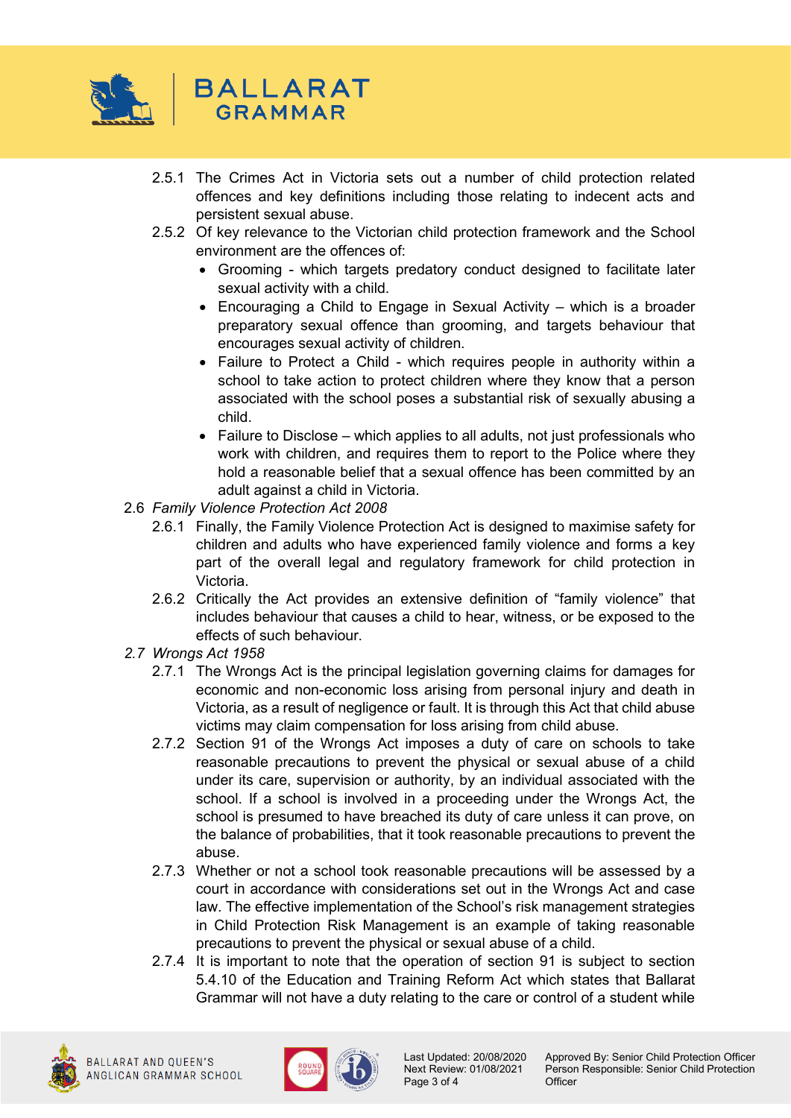

- 2.5.1 The Crimes Act in Victoria sets out a number of child protection related offences and key definitions including those relating to indecent acts and persistent sexual abuse.
- 2.5.2 Of key relevance to the Victorian child protection framework and the School environment are the offences of:
	- Grooming which targets predatory conduct designed to facilitate later sexual activity with a child.
	- Encouraging a Child to Engage in Sexual Activity which is a broader preparatory sexual offence than grooming, and targets behaviour that encourages sexual activity of children.
	- Failure to Protect a Child which requires people in authority within a school to take action to protect children where they know that a person associated with the school poses a substantial risk of sexually abusing a child.
	- Failure to Disclose which applies to all adults, not just professionals who work with children, and requires them to report to the Police where they hold a reasonable belief that a sexual offence has been committed by an adult against a child in Victoria.
- 2.6 *Family Violence Protection Act 2008*
	- 2.6.1 Finally, the Family Violence Protection Act is designed to maximise safety for children and adults who have experienced family violence and forms a key part of the overall legal and regulatory framework for child protection in Victoria.
	- 2.6.2 Critically the Act provides an extensive definition of "family violence" that includes behaviour that causes a child to hear, witness, or be exposed to the effects of such behaviour.
- *2.7 Wrongs Act 1958*
	- 2.7.1 The Wrongs Act is the principal legislation governing claims for damages for economic and non-economic loss arising from personal injury and death in Victoria, as a result of negligence or fault. It is through this Act that child abuse victims may claim compensation for loss arising from child abuse.
	- 2.7.2 Section 91 of the Wrongs Act imposes a duty of care on schools to take reasonable precautions to prevent the physical or sexual abuse of a child under its care, supervision or authority, by an individual associated with the school. If a school is involved in a proceeding under the Wrongs Act, the school is presumed to have breached its duty of care unless it can prove, on the balance of probabilities, that it took reasonable precautions to prevent the abuse.
	- 2.7.3 Whether or not a school took reasonable precautions will be assessed by a court in accordance with considerations set out in the Wrongs Act and case law. The effective implementation of the School's risk management strategies in Child Protection Risk Management is an example of taking reasonable precautions to prevent the physical or sexual abuse of a child.
	- 2.7.4 It is important to note that the operation of section 91 is subject to section 5.4.10 of the Education and Training Reform Act which states that Ballarat Grammar will not have a duty relating to the care or control of a student while





Page 3 of 4

Last Updated: 20/08/2020 Approved By: Senior Child Protection Officer<br>Next Review: 01/08/2021 Person Responsible: Senior Child Protection Person Responsible: Senior Child Protection<br>Officer